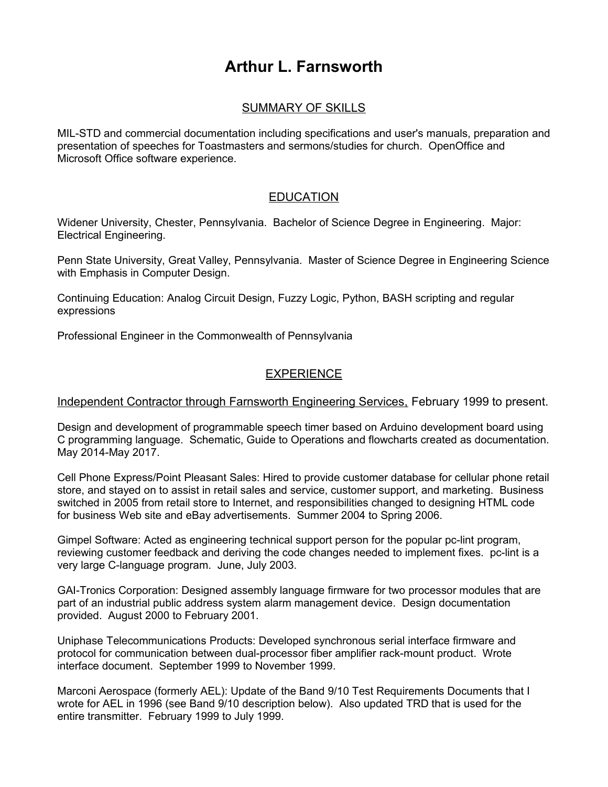# **Arthur L. Farnsworth**

# SUMMARY OF SKILLS

MIL-STD and commercial documentation including specifications and user's manuals, preparation and presentation of speeches for Toastmasters and sermons/studies for church. OpenOffice and Microsoft Office software experience.

# **EDUCATION**

Widener University, Chester, Pennsylvania. Bachelor of Science Degree in Engineering. Major: Electrical Engineering.

Penn State University, Great Valley, Pennsylvania. Master of Science Degree in Engineering Science with Emphasis in Computer Design.

Continuing Education: Analog Circuit Design, Fuzzy Logic, Python, BASH scripting and regular expressions

Professional Engineer in the Commonwealth of Pennsylvania

# EXPERIENCE

## Independent Contractor through Farnsworth Engineering Services, February 1999 to present.

Design and development of programmable speech timer based on Arduino development board using C programming language. Schematic, Guide to Operations and flowcharts created as documentation. May 2014-May 2017.

Cell Phone Express/Point Pleasant Sales: Hired to provide customer database for cellular phone retail store, and stayed on to assist in retail sales and service, customer support, and marketing. Business switched in 2005 from retail store to Internet, and responsibilities changed to designing HTML code for business Web site and eBay advertisements. Summer 2004 to Spring 2006.

Gimpel Software: Acted as engineering technical support person for the popular pc-lint program, reviewing customer feedback and deriving the code changes needed to implement fixes. pc-lint is a very large C-language program. June, July 2003.

GAI-Tronics Corporation: Designed assembly language firmware for two processor modules that are part of an industrial public address system alarm management device. Design documentation provided. August 2000 to February 2001.

Uniphase Telecommunications Products: Developed synchronous serial interface firmware and protocol for communication between dual-processor fiber amplifier rack-mount product. Wrote interface document. September 1999 to November 1999.

Marconi Aerospace (formerly AEL): Update of the Band 9/10 Test Requirements Documents that I wrote for AEL in 1996 (see Band 9/10 description below). Also updated TRD that is used for the entire transmitter. February 1999 to July 1999.